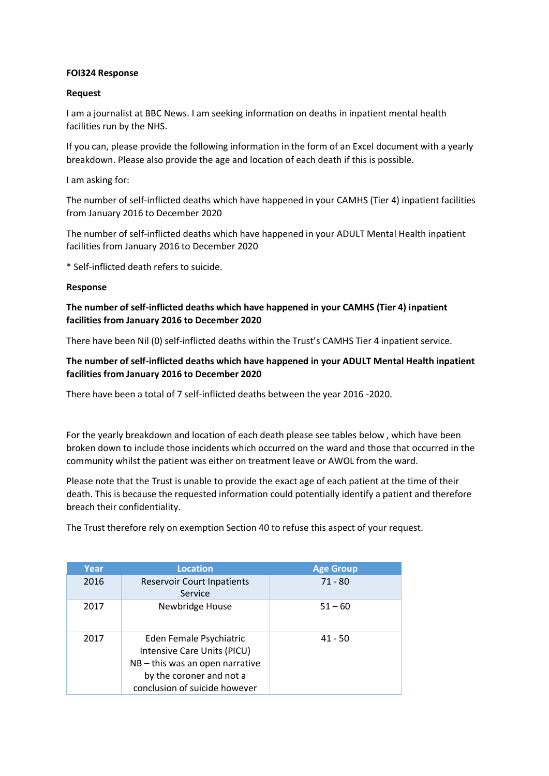#### **FOI324 Response**

### **Request**

I am a journalist at BBC News. I am seeking information on deaths in inpatient mental health facilities run by the NHS.

If you can, please provide the following information in the form of an Excel document with a yearly breakdown. Please also provide the age and location of each death if this is possible.

I am asking for:

The number of self-inflicted deaths which have happened in your CAMHS (Tier 4) inpatient facilities from January 2016 to December 2020

The number of self-inflicted deaths which have happened in your ADULT Mental Health inpatient facilities from January 2016 to December 2020

\* Self-inflicted death refers to suicide.

#### **Response**

## **The number of self-inflicted deaths which have happened in your CAMHS (Tier 4) inpatient facilities from January 2016 to December 2020**

There have been Nil (0) self-inflicted deaths within the Trust's CAMHS Tier 4 inpatient service.

# **The number of self-inflicted deaths which have happened in your ADULT Mental Health inpatient facilities from January 2016 to December 2020**

There have been a total of 7 self-inflicted deaths between the year 2016 -2020.

For the yearly breakdown and location of each death please see tables below , which have been broken down to include those incidents which occurred on the ward and those that occurred in the community whilst the patient was either on treatment leave or AWOL from the ward.

Please note that the Trust is unable to provide the exact age of each patient at the time of their death. This is because the requested information could potentially identify a patient and therefore breach their confidentiality.

The Trust therefore rely on exemption Section 40 to refuse this aspect of your request.

| Year | <b>Location</b>                                                                                                                                      | <b>Age Group</b> |
|------|------------------------------------------------------------------------------------------------------------------------------------------------------|------------------|
| 2016 | <b>Reservoir Court Inpatients</b><br>Service                                                                                                         | $71 - 80$        |
| 2017 | Newbridge House                                                                                                                                      | $51 - 60$        |
| 2017 | Eden Female Psychiatric<br>Intensive Care Units (PICU)<br>NB-this was an open narrative<br>by the coroner and not a<br>conclusion of suicide however | $41 - 50$        |